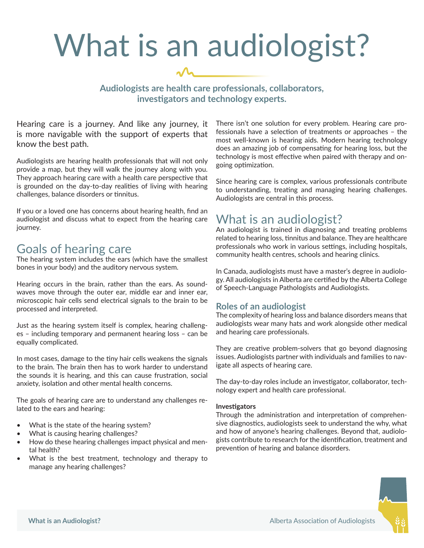# What is an audiologist?

# **Audiologists are health care professionals, collaborators, investigators and technology experts.**

Hearing care is a journey. And like any journey, it is more navigable with the support of experts that know the best path.

Audiologists are hearing health professionals that will not only provide a map, but they will walk the journey along with you. They approach hearing care with a health care perspective that is grounded on the day-to-day realities of living with hearing challenges, balance disorders or tinnitus.

If you or a loved one has concerns about hearing health, find an audiologist and discuss what to expect from the hearing care journey.

# Goals of hearing care

The hearing system includes the ears (which have the smallest bones in your body) and the auditory nervous system.

Hearing occurs in the brain, rather than the ears. As soundwaves move through the outer ear, middle ear and inner ear, microscopic hair cells send electrical signals to the brain to be processed and interpreted.

Just as the hearing system itself is complex, hearing challenges – including temporary and permanent hearing loss – can be equally complicated.

In most cases, damage to the tiny hair cells weakens the signals to the brain. The brain then has to work harder to understand the sounds it is hearing, and this can cause frustration, social anxiety, isolation and other mental health concerns.

The goals of hearing care are to understand any challenges related to the ears and hearing:

- What is the state of the hearing system?
- What is causing hearing challenges?
- How do these hearing challenges impact physical and mental health?
- What is the best treatment, technology and therapy to manage any hearing challenges?

There isn't one solution for every problem. Hearing care professionals have a selection of treatments or approaches – the most well-known is hearing aids. Modern hearing technology does an amazing job of compensating for hearing loss, but the technology is most effective when paired with therapy and ongoing optimization.

Since hearing care is complex, various professionals contribute to understanding, treating and managing hearing challenges. Audiologists are central in this process.

# What is an audiologist?

An audiologist is trained in diagnosing and treating problems related to hearing loss, tinnitus and balance. They are healthcare professionals who work in various settings, including hospitals, community health centres, schools and hearing clinics.

In Canada, audiologists must have a master's degree in audiology. All audiologists in Alberta are certified by the Alberta College of Speech-Language Pathologists and Audiologists.

# **Roles of an audiologist**

The complexity of hearing loss and balance disorders means that audiologists wear many hats and work alongside other medical and hearing care professionals.

They are creative problem-solvers that go beyond diagnosing issues. Audiologists partner with individuals and families to navigate all aspects of hearing care.

The day-to-day roles include an investigator, collaborator, technology expert and health care professional.

#### **Investigators**

Through the administration and interpretation of comprehensive diagnostics, audiologists seek to understand the why, what and how of anyone's hearing challenges. Beyond that, audiologists contribute to research for the identification, treatment and prevention of hearing and balance disorders.